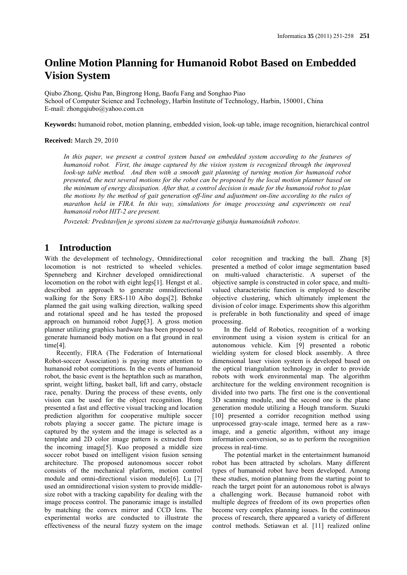# **Online Motion Planning for Humanoid Robot Based on Embedded Vision System**

Qiubo Zhong, Qishu Pan, Bingrong Hong, Baofu Fang and Songhao Piao School of Computer Science and Technology, Harbin Institute of Technology, Harbin, 150001, China E-mail: zhongqiubo@yahoo.com.cn

**Keywords:** humanoid robot, motion planning, embedded vision, look-up table, image recognition, hierarchical control

#### **Received:** March 29, 2010

In this paper, we present a control system based on embedded system according to the features of *humanoid robot. First, the image captured by the vision system is recognized through the improved look-up table method. And then with a smooth gait planning of turning motion for humanoid robot presented, the next several motions for the robot can be proposed by the local motion planner based on the minimum of energy dissipation. After that, a control decision is made for the humanoid robot to plan the motions by the method of gait generation off-line and adjustment on-line according to the rules of marathon held in FIRA. In this way, simulations for image processing and experiments on real humanoid robot HIT-2 are present.*

*Povzetek: Predstavljen je sprotni sistem za načrtovanje gibanja humanoidnih robotov.*

## **1 Introduction**

With the development of technology, Omnidirectional locomotion is not restricted to wheeled vehicles. Spenneberg and Kirchner developed omnidirectional locomotion on the robot with eight legs[1]. Hengst et al.. described an approach to generate omnidirectional walking for the Sony ERS-110 Aibo dogs[2]. Behnke planned the gait using walking direction, walking speed and rotational speed and he has tested the proposed approach on humanoid robot Jupp[3]. A gross motion planner utilizing graphics hardware has been proposed to generate humanoid body motion on a flat ground in real time[4].

Recently, FIRA (The Federation of International Robot-soccer Association) is paying more attention to humanoid robot competitions. In the events of humanoid robot, the basic event is the heptathlon such as marathon, sprint, weight lifting, basket ball, lift and carry, obstacle race, penalty. During the process of these events, only vision can be used for the object recognition. Hong presented a fast and effective visual tracking and location prediction algorithm for cooperative multiple soccer robots playing a soccer game. The picture image is captured by the system and the image is selected as a template and 2D color image pattern is extracted from the incoming image[5]. Kuo proposed a middle size soccer robot based on intelligent vision fusion sensing architecture. The proposed autonomous soccer robot consists of the mechanical platform, motion control module and omni-directional vision module[6]. Lu [7] used an omnidirectional vision system to provide middlesize robot with a tracking capability for dealing with the image process control. The panoramic image is installed by matching the convex mirror and CCD lens. The experimental works are conducted to illustrate the effectiveness of the neural fuzzy system on the image

color recognition and tracking the ball. Zhang [8] presented a method of color image segmentation based on multi-valued characteristic. A superset of the objective sample is constructed in color space, and multivalued characteristic function is employed to describe objective clustering, which ultimately implement the division of color image. Experiments show this algorithm is preferable in both functionality and speed of image processing.

In the field of Robotics, recognition of a working environment using a vision system is critical for an autonomous vehicle. Kim [9] presented a robotic wielding system for closed block assembly. A three dimensional laser vision system is developed based on the optical triangulation technology in order to provide robots with work environmental map. The algorithm architecture for the welding environment recognition is divided into two parts. The first one is the conventional 3D scanning module, and the second one is the plane generation module utilizing a Hough transform. Suzuki [10] presented a corridor recognition method using unprocessed gray-scale image, termed here as a rawimage, and a genetic algorithm, without any image information conversion, so as to perform the recognition process in real-time.

The potential market in the entertainment humanoid robot has been attracted by scholars. Many different types of humanoid robot have been developed. Among these studies, motion planning from the starting point to reach the target point for an autonomous robot is always a challenging work. Because humanoid robot with multiple degrees of freedom of its own properties often become very complex planning issues. In the continuous process of research, there appeared a variety of different control methods. Setiawan et al. [11] realized online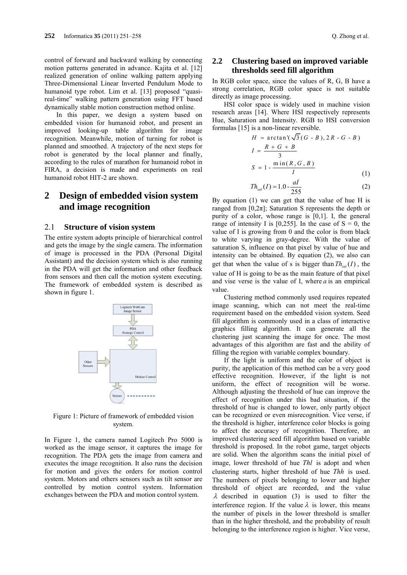control of forward and backward walking by connecting motion patterns generated in advance. Kajita et al. [12] realized generation of online walking pattern applying Three-Dimensional Linear Inverted Pendulum Mode to humanoid type robot. Lim et al. [13] proposed "quasireal-time" walking pattern generation using FFT based dynamically stable motion construction method online.

In this paper, we design a system based on embedded vision for humanoid robot, and present an improved looking-up table algorithm for image recognition. Meanwhile, motion of turning for robot is planned and smoothed. A trajectory of the next steps for robot is generated by the local planner and finally, according to the rules of marathon for humanoid robot in FIRA, a decision is made and experiments on real humanoid robot HIT-2 are shown.

## **2 Design of embedded vision system and image recognition**

#### 2.1 **Structure of vision system**

The entire system adopts principle of hierarchical control and gets the image by the single camera. The information of image is processed in the PDA (Personal Digital Assistant) and the decision system which is also running in the PDA will get the information and other feedback from sensors and then call the motion system executing. The framework of embedded system is described as shown in figure 1.



Figure 1: Picture of framework of embedded vision system.

In Figure 1, the camera named Logitech Pro 5000 is worked as the image sensor, it captures the image for recognition. The PDA gets the image from camera and executes the image recognition. It also runs the decision for motion and gives the orders for motion control system. Motors and others sensors such as tilt sensor are controlled by motion control system. Information exchanges between the PDA and motion control system.

### **2.2 Clustering based on improved variable thresholds seed fill algorithm**

In RGB color space, since the values of R, G, B have a strong correlation, RGB color space is not suitable directly as image processing.

HSI color space is widely used in machine vision research areas [14]. Where HSI respectively represents Hue, Saturation and Intensity. RGB to HSI conversion formulas [15] is a non-linear reversible.

$$
H = \arctan\left(\sqrt{3} (G - B), 2R - G - B\right)
$$
  
\n
$$
I = \frac{R + G + B}{3}
$$
  
\n
$$
S = 1 - \frac{\min(R, G, B)}{I}
$$
 (1)

$$
Th_{sat}(I) = 1.0 - \frac{aI}{255}
$$
 (2)

By equation (1) we can get that the value of hue H is ranged from [0,2 $\pi$ ]; Saturation S represents the depth or purity of a color, whose range is [0,1]. I, the general range of intensity I is [0,255]. In the case of  $S = 0$ , the value of I is growing from 0 and the color is from black to white varying in gray-degree. With the value of saturation S, influence on that pixel by value of hue and intensity can be obtained. By equation (2), we also can get that when the value of s is bigger than  $Th_{sat}( I )$ , the value of H is going to be as the main feature of that pixel and vise verse is the value of I, where *a* is an empirical value.

Clustering method commonly used requires repeated image scanning, which can not meet the real-time requirement based on the embedded vision system. Seed fill algorithm is commonly used in a class of interactive graphics filling algorithm. It can generate all the clustering just scanning the image for once. The most advantages of this algorithm are fast and the ability of filling the region with variable complex boundary.

If the light is uniform and the color of object is purity, the application of this method can be a very good effective recognition. However, if the light is not uniform, the effect of recognition will be worse. Although adjusting the threshold of hue can improve the effect of recognition under this bad situation, if the threshold of hue is changed to lower, only partly object can be recognized or even misrecognition. Vice verse, if the threshold is higher, interference color blocks is going to affect the accuracy of recognition. Therefore, an improved clustering seed fill algorithm based on variable threshold is proposed. In the robot game, target objects are solid. When the algorithm scans the initial pixel of image, lower threshold of hue *Thl* is adopt and when clustering starts, higher threshold of hue *Thh* is used. The numbers of pixels belonging to lower and higher threshold of object are recorded, and the value  $\lambda$  described in equation (3) is used to filter the interference region. If the value  $\lambda$  is lower, this means the number of pixels in the lower threshold is smaller than in the higher threshold, and the probability of result belonging to the interference region is higher. Vice verse,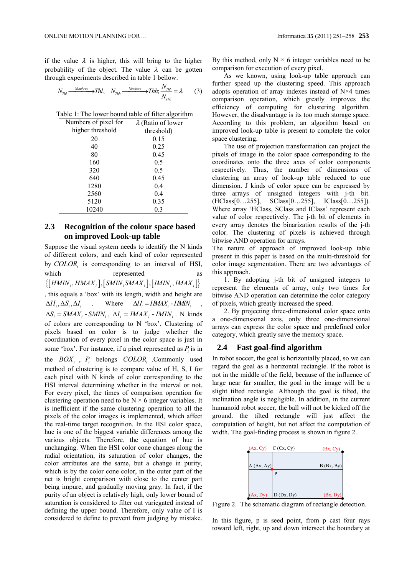if the value  $\lambda$  is higher, this will bring to the higher probability of the object. The value  $\lambda$  can be gotten through experiments described in table 1 bellow.

$$
N_{Thl} \xrightarrow{\text{NumberS}} Thl, \quad N_{Thh} \xrightarrow{\text{NumberS}} Thh; \frac{N_{Thl}}{N_{Thh}} = \lambda \tag{3}
$$

Table 1: The lower bound table of filter algorithm

| Numbers of pixel for | $\lambda$ (Ratio of lower |
|----------------------|---------------------------|
| higher threshold     | threshold)                |
| 20                   | 0.15                      |
| 40                   | 0.25                      |
| 80                   | 0.45                      |
| 160                  | 0.5                       |
| 320                  | 0.5                       |
| 640                  | 0.45                      |
| 1280                 | 0.4                       |
| 2560                 | 0.4                       |
| 5120                 | 0.35                      |
| 10240                | 0.3                       |

### **2.3 Recognition of the colour space based on improved Look-up table**

Suppose the visual system needs to identify the N kinds of different colors, and each kind of color represented by *COLOR<sub>i</sub>* is corresponding to an interval of HSI, which represented as  $\{[HMIN_i, HMAX_i], [SMIN_i, SMAX_i], [MIN_i, MAX_i]\}$ , this equals a 'box' with its length, width and height are  $\Delta H_i$ ,  $\Delta S_i$ ,  $\Delta I_i$  . Where  $\Delta H_i = HMAX_i$  - HMIN;  $\Delta S_i = \frac{SMAX_i - \frac{SMIN_i}{S}$ ,  $\Delta I_i = \frac{IMAX_i - \frac{I}{I}MIN_i}{S}$ . N kinds of colors are corresponding to N 'box'. Clustering of pixels based on color is to judge whether the coordination of every pixel in the color space is just in some 'box'. For instance, if a pixel represented as *Pi* is in

the *BOXi* , *Pi* belongs *COLORi* .Commonly used method of clustering is to compare value of H, S, I for each pixel with N kinds of color corresponding to the HSI interval determining whether in the interval or not. For every pixel, the times of comparison operation for clustering operation need to be  $N \times 6$  integer variables. It is inefficient if the same clustering operation to all the pixels of the color images is implemented, which affect the real-time target recognition. In the HSI color space, hue is one of the biggest variable differences among the various objects. Therefore, the equation of hue is unchanging. When the HSI color cone changes along the radial orientation, its saturation of color changes, the color attributes are the same, but a change in purity, which is by the color cone color, in the outer part of the net is bright comparison with close to the center part being impure, and gradually moving gray. In fact, if the purity of an object is relatively high, only lower bound of saturation is considered to filter out variegated instead of defining the upper bound. Therefore, only value of I is considered to define to prevent from judging by mistake.

By this method, only  $N \times 6$  integer variables need to be comparison for execution of every pixel.

As we known, using look-up table approach can further speed up the clustering speed. This approach adopts operation of array indexes instead of N×4 times comparison operation, which greatly improves the efficiency of computing for clustering algorithm. However, the disadvantage is its too much storage space. According to this problem, an algorithm based on improved look-up table is present to complete the color space clustering.

The use of projection transformation can project the pixels of image in the color space corresponding to the coordinates onto the three axes of color components respectively. Thus, the number of dimensions of clustering an array of look-up table reduced to one dimension. J kinds of color space can be expressed by three arrays of unsigned integers with j-th bit. (HClass[0…255], SClass[0…255], IClass[0…255]). Where array 'HClass, SClass and IClass' represent each value of color respectively. The j-th bit of elements in every array denotes the binarization results of the j-th color. The clustering of pixels is achieved through bitwise AND operation for arrays.

The nature of approach of improved look-up table present in this paper is based on the multi-threshold for color image segmentation. There are two advantages of this approach.

1. By adopting j-th bit of unsigned integers to represent the elements of array, only two times for bitwise AND operation can determine the color category of pixels, which greatly increased the speed.

2. By projecting three-dimensional color space onto a one-dimensional axis, only three one-dimensional arrays can express the color space and predefined color category, which greatly save the memory space.

#### **2.4 Fast goal-find algorithm**

In robot soccer, the goal is horizontally placed, so we can regard the goal as a horizontal rectangle. If the robot is not in the middle of the field, because of the influence of large near far smaller, the goal in the image will be a slight tilted rectangle. Although the goal is tilted, the inclination angle is negligible. In addition, in the current humanoid robot soccer, the ball will not be kicked off the ground. the tilted rectangle will just affect the computation of height, but not affect the computation of width. The goal-finding process is shown in figure 2.



Figure 2. The schematic diagram of rectangle detection.

In this figure, p is seed point, from p cast four rays toward left, right, up and down intersect the boundary at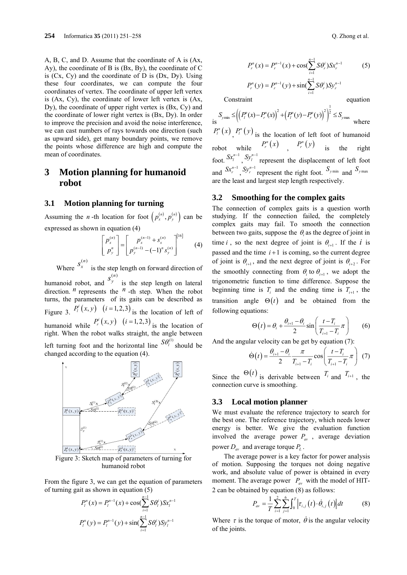A, B, C, and D. Assume that the coordinate of A is (Ax, Ay), the coordinate of B is (Bx, By), the coordinate of C is  $(Cx, Cy)$  and the coordinate of D is  $(Dx, Dy)$ . Using these four coordinates, we can compute the four coordinates of vertex. The coordinate of upper left vertex is (Ax, Cy), the coordinate of lower left vertex is (Ax, Dy), the coordinate of upper right vertex is (Bx, Cy) and the coordinate of lower right vertex is (Bx, Dy). In order to improve the precision and avoid the noise interference, we can cast numbers of rays towards one direction (such as upward side), get many boundary points, we remove the points whose difference are high and compute the mean of coordinates.

## **3 Motion planning for humanoid robot**

#### **3.1 Motion planning for turning**

Assuming the *n*-th location for foot  $\left( p_x^{(n)}, p_y^{(n)} \right)$  can be expressed as shown in equation (4)

$$
\begin{bmatrix} p_x^{(n)} \\ p_y^{n} \end{bmatrix} = \begin{bmatrix} p_x^{(n-1)} + s_x^{(n)} \\ p_y^{(n-1)} - (-1)^n s_y^{(n)} \end{bmatrix}^{[16]}
$$
 (4)

Where  $S_x^{(n)}$  is the step length on forward direction of

humanoid robot, and  $S_y^{(n)}$  is the step length on lateral direction. *n* represents the *n* -th step. When the robot turns, the parameters of its gaits can be described as Figure 3.  $P_i^i(x, y)$   $(i=1,2,3)$  is the location of left of humanoid while  $P_r^i(x, y)$   $(i = 1, 2, 3)$  is the location of right. When the robot walks straight, the angle between left turning foot and the horizontal line  ${}^{S\theta_l^{(1)}}$  should be changed according to the equation (4).



Figure 3: Sketch map of parameters of turning for humanoid robot

From the figure 3, we can get the equation of parameters of turning gait as shown in equation (5)

$$
P_l^n(x) = P_l^{n-1}(x) + \cos(\sum_{i=1}^{n-1} S\theta_l^i) S x_l^{n-1}
$$
  

$$
P_l^n(y) = P_l^{n-1}(y) + \sin(\sum_{i=1}^{n-1} S\theta_l^i) S y_l^{n-1}
$$

$$
P_r^n(x) = P_r^{n-1}(x) + \cos(\sum_{i=1}^{n-1} S\theta_r^i) S x_r^{n-1}
$$
(5)  

$$
P_r^n(y) = P_r^{n-1}(y) + \sin(\sum_{i=1}^{n-1} S\theta_r^i) S y_r^{n-1}
$$

Constraint equation

$$
S_{\text{ymin}} \leq \left( \left( P_l^n(x) - P_r^n(x) \right)^2 + \left( P_l^n(y) - P_r^n(y) \right)^2 \right)^{\frac{1}{2}} \leq S_{\text{ymax}}
$$
\nwhere\n
$$
P_l^n(x) P_l^n(y) \text{ is the location of left foot of humanoid}
$$
\n
$$
P_r^n(x) P_r^n(y) \text{ is the right}
$$
\n
$$
S x_l^{n-1} P_r^n(y) \text{ is the right}
$$
\n
$$
S x_l^{n-1} P_r^n(y) \text{ is the right}
$$
\n
$$
S x_l^{n-1} P_r^n(y) \text{ is the right}
$$
\n
$$
S x_l^{n-1} P_r^{n-1} \text{ is the right}
$$
\n
$$
S x_l^{n-1} P_r^{n-1} \text{ is the right}
$$
\n
$$
S x_l^{n-1} P_r^{n-1} \text{ is the right}
$$
\n
$$
S x_l^{n-1} P_r^{n-1} \text{ is the right}
$$
\n
$$
S x_l^{n-1} P_r^{n-1} \text{ is the right}
$$
\n
$$
S x_l^{n-1} P_r^{n-1} \text{ is the right}
$$
\n
$$
S x_l^{n-1} P_r^{n-1} \text{ is the right}
$$
\n
$$
S x_l^{n-1} P_r^{n-1} \text{ is the right}
$$

#### **3.2 Smoothing for the complex gaits**

The connection of complex gaits is a question worth studying. If the connection failed, the completely complex gaits may fail. To smooth the connection between two gaits, suppose the  $\theta_i$  as the degree of joint in time *i*, so the next degree of joint is  $\theta_{i+1}$ . If the *i* is passed and the time  $i+1$  is coming, so the current degree of joint is  $\theta_{i+1}$ , and the next degree of joint is  $\theta_{i+2}$ . For the smoothly connecting from  $\theta_i$  to  $\theta_{i+1}$ , we adopt the trigonometric function to time difference. Suppose the beginning time is  $T_i$  and the ending time is  $T_{i+1}$ , the transition angle  $\Theta(t)$  and be obtained from the following equations:

$$
\Theta(t) = \theta_i + \frac{\theta_{i+1} - \theta_i}{2} \sin\left(\frac{t - T_i}{T_{i+1} - T_i}\pi\right) \tag{6}
$$

And the angular velocity can be get by equation (7):

$$
\dot{\Theta}(t) = \frac{\theta_{i+1} - \theta_i}{2} \frac{\pi}{T_{i+1} - T_i} \cos\left(\frac{t - T_i}{T_{i+1} - T_i} \pi\right) (7)
$$

Since the  $\Theta(t)$  is derivable between  $T_i$  and  $T_{i+1}$ , the connection curve is smoothing.

#### **3.3 Local motion planner**

We must evaluate the reference trajectory to search for the best one. The reference trajectory, which needs lower energy is better. We give the evaluation function involved the average power  $P_{av}$ , average deviation power  $D_{av}$  and average torque  $P_L$ .

The average power is a key factor for power analysis of motion. Supposing the torques not doing negative work, and absolute value of power is obtained in every moment. The average power  $P_{av}$  with the model of HIT-2 can be obtained by equation (8) as follows:

$$
P_{av} = \frac{1}{T} \sum_{i=1}^{2} \sum_{j=1}^{6} \int_{0}^{T} \left| \tau_{i,j}(t) \cdot \dot{\theta}_{i,j}(t) \right| dt \tag{8}
$$

Where  $\tau$  is the torque of motor,  $\dot{\theta}$  is the angular velocity of the joints.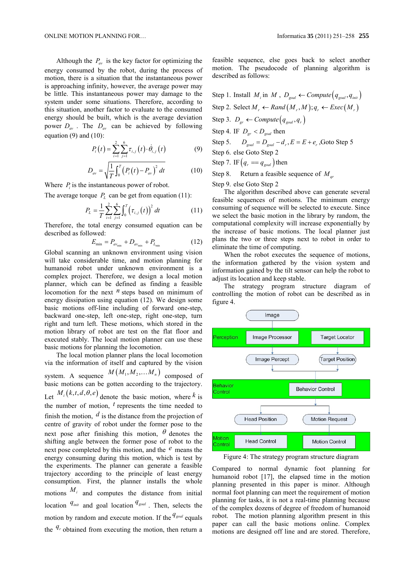Although the  $P_{av}$  is the key factor for optimizing the energy consumed by the robot, during the process of motion, there is a situation that the instantaneous power is approaching infinity, however, the average power may be little. This instantaneous power may damage to the system under some situations. Therefore, according to this situation, another factor to evaluate to the consumed energy should be built, which is the average deviation power  $D_{av}$ . The  $D_{av}$  can be achieved by following equation  $(9)$  and  $(10)$ :

$$
P_i(t) = \sum_{i=1}^{2} \sum_{j=1}^{6} \tau_{i,j}(t) \cdot \dot{\theta}_{i,j}(t)
$$
 (9)

$$
D_{av} = \sqrt{\frac{1}{T} \int_0^T \left( P_i(t) - P_{av} \right)^2 dt}
$$
 (10)

Where  $P_i$  is the instantaneous power of robot.

The average torque  $P_L$  can be get from equation (11):

$$
P_{L} = \frac{1}{T} \sum_{i=1}^{2} \sum_{j=1}^{6} \int_{0}^{T} (\tau_{i,j}(t))^{2} dt
$$
 (11)

Therefore, the total energy consumed equation can be described as followed:

$$
E_{\min} = P_{\text{av}_{\min}} + D_{\text{av}_{\min}} + P_{L_{\min}} \tag{12}
$$

Global scanning an unknown environment using vision will take considerable time, and motion planning for humanoid robot under unknown environment is a complex project. Therefore, we design a local motion planner, which can be defined as finding a feasible locomotion for the next *n* steps based on minimum of energy dissipation using equation (12). We design some basic motions off-line including of forward one-step, backward one-step, left one-step, right one-step, turn right and turn left. These motions, which stored in the motion library of robot are test on the flat floor and executed stably. The local motion planner can use these basic motions for planning the locomotion.

The local motion planner plans the local locomotion via the information of itself and captured by the vision system. A sequence  $M(M_1, M_2, \ldots, M_n)$  composed of basic motions can be gotten according to the trajectory. Let  $M_i(k, t, d, \theta, e)$  denote the basic motion, where  $k$  is the number of motion, *t* represents the time needed to finish the motion, *d* is the distance from the projection of centre of gravity of robot under the former pose to the next pose after finishing this motion,  $\theta$  denotes the shifting angle between the former pose of robot to the next pose completed by this motion, and the *e* means the energy consuming during this motion, which is test by the experiments. The planner can generate a feasible trajectory according to the principle of least energy consumption. First, the planner installs the whole motions  $M_i$  and computes the distance from initial location  $q_{\text{init}}$  and goal location  $q_{\text{goal}}$ . Then, selects the motion by random and execute motion. If the  $q_{goal}$  equals the  $q_r$  obtained from executing the motion, then return a

feasible sequence, else goes back to select another motion. The pseudocode of planning algorithm is described as follows:

Step 1. Install  $M_i$  in  $M$ ,  $D_{goal} \leftarrow Compute(q_{goal}, q_{init})$ Step 2. Select  $M_r \leftarrow Rand(M_r, M); q_r \leftarrow Excel(M_r)$ Step 3.  $D_{gr} \leftarrow Compute(q_{goal}, q_r)$ Step 4. IF  $D_{gr} < D_{goal}$  then Step 5.  $D_{goal} = D_{goal} - d_r$ ,  $E = E + e_r$ , Goto Step 5 Step 6. else Goto Step 2 Step 7. IF  $(q_r = q_{goal})$  then Step 8. Return a feasible sequence of *Mqr* Step 9. else Goto Step 2

The algorithm described above can generate several feasible sequences of motions. The minimum energy consuming of sequence will be selected to execute. Since we select the basic motion in the library by random, the computational complexity will increase exponentially by the increase of basic motions. The local planner just plans the two or three steps next to robot in order to eliminate the time of computing.

When the robot executes the sequence of motions, the information gathered by the vision system and information gained by the tilt sensor can help the robot to adjust its location and keep stable.

The strategy program structure diagram of controlling the motion of robot can be described as in figure 4.



Figure 4: The strategy program structure diagram

Compared to normal dynamic foot planning for humanoid robot [17], the elapsed time in the motion planning presented in this paper is minor. Although normal foot planning can meet the requirement of motion planning for tasks, it is not a real-time planning because of the complex dozens of degree of freedom of humanoid robot. The motion planning algorithm present in this paper can call the basic motions online. Complex motions are designed off line and are stored. Therefore,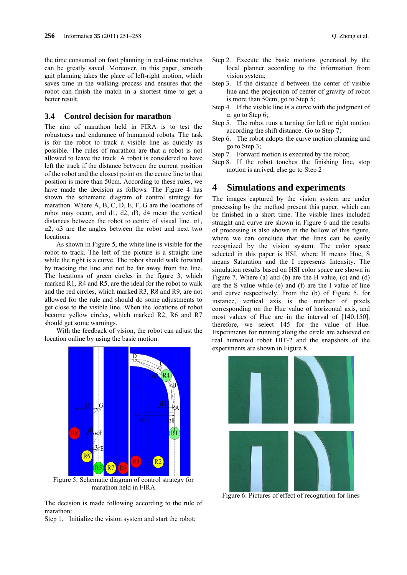the time consumed on foot planning in real-time matches can be greatly saved. Moreover, in this paper, smooth gait planning takes the place of left-right motion, which saves time in the walking process and ensures that the robot can finish the match in a shortest time to get a better result.

#### **3.4 Control decision for marathon**

The aim of marathon held in FIRA is to test the robustness and endurance of humanoid robots. The task is for the robot to track a visible line as quickly as possible. The rules of marathon are that a robot is not allowed to leave the track. A robot is considered to have left the track if the distance between the current position of the robot and the closest point on the centre line to that position is more than 50cm. According to these rules, we have made the decision as follows. The Figure 4 has shown the schematic diagram of control strategy for marathon. Where A, B, C, D, E, F, G are the locations of robot may occur, and d1, d2, d3, d4 mean the vertical distances between the robot to centre of visual line. α1, α2, α3 are the angles between the robot and next two locations.

As shown in Figure 5, the white line is visible for the robot to track. The left of the picture is a straight line while the right is a curve. The robot should walk forward by tracking the line and not be far away from the line. The locations of green circles in the figure 3, which marked R1, R4 and R5, are the ideal for the robot to walk and the red circles, which marked R3, R8 and R9, are not allowed for the rule and should do some adjustments to get close to the visible line. When the locations of robot become yellow circles, which marked R2, R6 and R7 should get some warnings.

With the feedback of vision, the robot can adjust the location online by using the basic motion.



Figure 5: Schematic diagram of control strategy for marathon held in FIRA

The decision is made following according to the rule of marathon:

Step 1. Initialize the vision system and start the robot;

- Step 2. Execute the basic motions generated by the local planner according to the information from vision system;
- Step 3. If the distance d between the center of visible line and the projection of center of gravity of robot is more than 50cm, go to Step 5;
- Step 4. If the visible line is a curve with the judgment of α, go to Step 6;
- Step 5. The robot runs a turning for left or right motion according the shift distance. Go to Step 7;
- Step 6. The robot adopts the curve motion planning and go to Step 3;
- Step 7. Forward motion is executed by the robot;
- Step 8. If the robot touches the finishing line, stop motion is arrived, else go to Step 2

## **4 Simulations and experiments**

The images captured by the vision system are under processing by the method present this paper, which can be finished in a short time. The visible lines included straight and curve are shown in Figure 6 and the results of processing is also shown in the bellow of this figure, where we can conclude that the lines can be easily recognized by the vision system. The color space selected in this paper is HSI, where H means Hue, S means Saturation and the I represents Intensity. The simulation results based on HSI color space are shown in Figure 7. Where (a) and (b) are the H value, (c) and (d) are the S value while (e) and (f) are the I value of line and curve respectively. From the (b) of Figure 5, for instance, vertical axis is the number of pixels corresponding on the Hue value of horizontal axis, and most values of Hue are in the interval of [140,150], therefore, we select 145 for the value of Hue. Experiments for running along the circle are achieved on real humanoid robot HIT-2 and the snapshots of the experiments are shown in Figure 8.



Figure 6: Pictures of effect of recognition for lines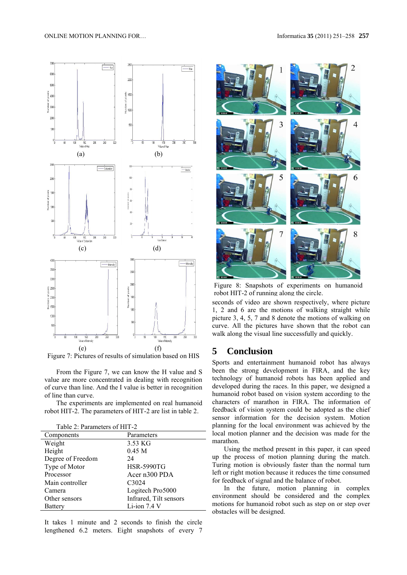#### ONLINE MOTION PLANNING FOR… Informatica **35** (2011) 251–258 **257**



Figure 7: Pictures of results of simulation based on HIS

From the Figure 7, we can know the H value and S value are more concentrated in dealing with recognition of curve than line. And the I value is better in recognition of line than curve.

The experiments are implemented on real humanoid robot HIT-2. The parameters of HIT-2 are list in table 2.

| Table 2: Parameters of HIT-2 |
|------------------------------|
|------------------------------|

| Components        | Parameters             |
|-------------------|------------------------|
| Weight            | 3.53 KG                |
| Height            | 0.45 <sub>M</sub>      |
| Degree of Freedom | 24                     |
| Type of Motor     | <b>HSR-5990TG</b>      |
| Processor         | Acer n300 PDA          |
| Main controller   | C3024                  |
| Camera            | Logitech Pro5000       |
| Other sensors     | Infrared, Tilt sensors |
| Battery           | Li-ion 7.4 V           |

It takes 1 minute and 2 seconds to finish the circle lengthened 6.2 meters. Eight snapshots of every 7



Figure 8: Snapshots of experiments on humanoid robot HIT-2 of running along the circle.

seconds of video are shown respectively, where picture 1, 2 and 6 are the motions of walking straight while picture 3, 4, 5, 7 and 8 denote the motions of walking on curve. All the pictures have shown that the robot can walk along the visual line successfully and quickly.

## **5 Conclusion**

Sports and entertainment humanoid robot has always been the strong development in FIRA, and the key technology of humanoid robots has been applied and developed during the races. In this paper, we designed a humanoid robot based on vision system according to the characters of marathon in FIRA. The information of feedback of vision system could be adopted as the chief sensor information for the decision system. Motion planning for the local environment was achieved by the local motion planner and the decision was made for the marathon.

Using the method present in this paper, it can speed up the process of motion planning during the match. Turing motion is obviously faster than the normal turn left or right motion because it reduces the time consumed for feedback of signal and the balance of robot.

In the future, motion planning in complex environment should be considered and the complex motions for humanoid robot such as step on or step over obstacles will be designed.